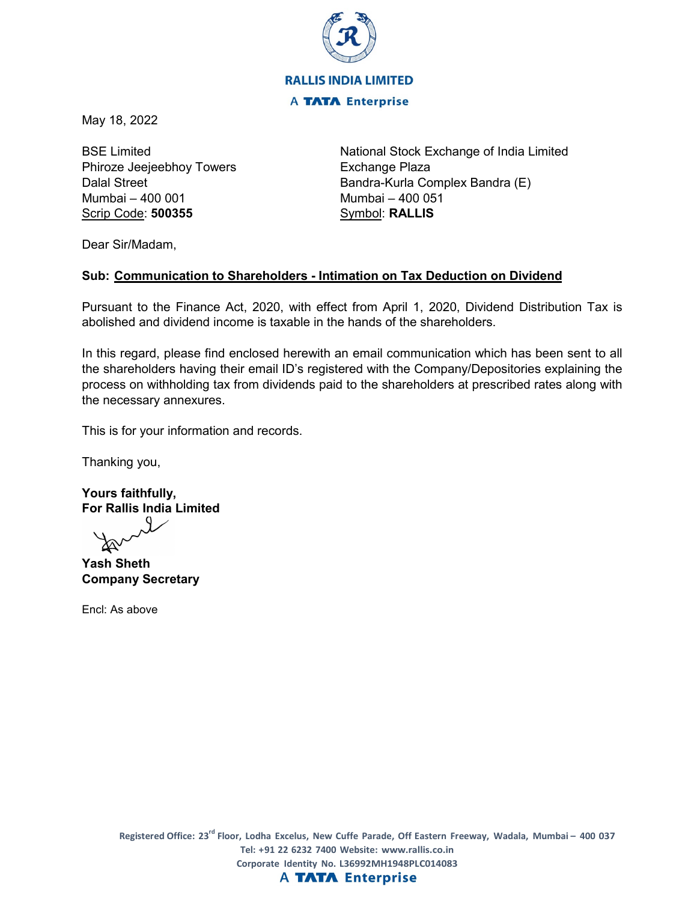

May 18, 2022

BSE Limited Phiroze Jeejeebhoy Towers Dalal Street Mumbai – 400 001 Scrip Code: **500355**

National Stock Exchange of India Limited Exchange Plaza Bandra-Kurla Complex Bandra (E) Mumbai – 400 051 Symbol: **RALLIS**

Dear Sir/Madam,

## **Sub: Communication to Shareholders - Intimation on Tax Deduction on Dividend**

Pursuant to the Finance Act, 2020, with effect from April 1, 2020, Dividend Distribution Tax is abolished and dividend income is taxable in the hands of the shareholders.

In this regard, please find enclosed herewith an email communication which has been sent to all the shareholders having their email ID's registered with the Company/Depositories explaining the process on withholding tax from dividends paid to the shareholders at prescribed rates along with the necessary annexures.

This is for your information and records.

Thanking you,

**Yours faithfully, For Rallis India Limited**

**Yash Sheth Company Secretary**

Encl: As above

## **A TATA Enterprise**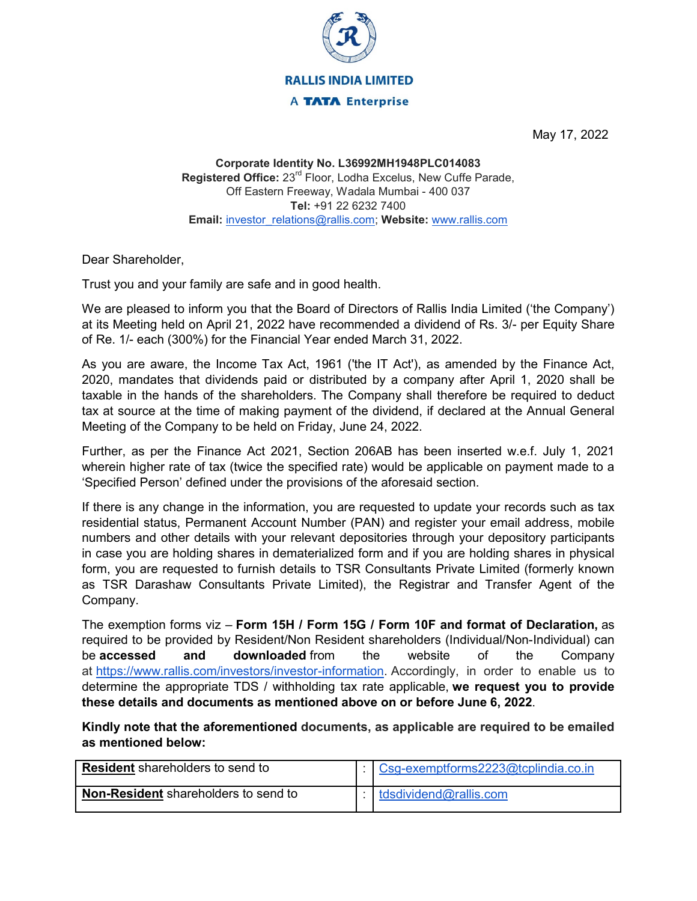

May 17, 2022

**Corporate Identity No. L36992MH1948PLC014083 Registered Office:** 23rd Floor, Lodha Excelus, New Cuffe Parade, Off Eastern Freeway, Wadala Mumbai - 400 037 **Tel:** +91 22 6232 7400 **Email:** [investor\\_relations@rallis.com;](mailto:investor_relations@rallis.com) **Website:** [www.rallis.com](https://ind01.safelinks.protection.outlook.com/?url=http%3A%2F%2Fwww.rallis.com%2F&data=05%7C01%7Ce-voting%40sbisgcsl.co.in%7Ce1b44b687ed24062870c08da37d999c9%7C3531f6e2a03144e4ab9f404122e6fa01%7C0%7C0%7C637883704993372126%7CUnknown%7CTWFpbGZsb3d8eyJWIjoiMC4wLjAwMDAiLCJQIjoiV2luMzIiLCJBTiI6Ik1haWwiLCJXVCI6Mn0%3D%7C2000%7C%7C%7C&sdata=vAhXQqhs73KVmFKx%2BCC3SglHbEBXAogPlBhoQEym9lw%3D&reserved=0)

Dear Shareholder,

Trust you and your family are safe and in good health.

We are pleased to inform you that the Board of Directors of Rallis India Limited ('the Company') at its Meeting held on April 21, 2022 have recommended a dividend of Rs. 3/- per Equity Share of Re. 1/- each (300%) for the Financial Year ended March 31, 2022.

As you are aware, the Income Tax Act, 1961 ('the IT Act'), as amended by the Finance Act, 2020, mandates that dividends paid or distributed by a company after April 1, 2020 shall be taxable in the hands of the shareholders. The Company shall therefore be required to deduct tax at source at the time of making payment of the dividend, if declared at the Annual General Meeting of the Company to be held on Friday, June 24, 2022.

Further, as per the Finance Act 2021, Section 206AB has been inserted w.e.f. July 1, 2021 wherein higher rate of tax (twice the specified rate) would be applicable on payment made to a 'Specified Person' defined under the provisions of the aforesaid section.

If there is any change in the information, you are requested to update your records such as tax residential status, Permanent Account Number (PAN) and register your email address, mobile numbers and other details with your relevant depositories through your depository participants in case you are holding shares in dematerialized form and if you are holding shares in physical form, you are requested to furnish details to TSR Consultants Private Limited (formerly known as TSR Darashaw Consultants Private Limited), the Registrar and Transfer Agent of the Company.

The exemption forms viz – **Form 15H / Form 15G / Form 10F and format of Declaration,** as required to be provided by Resident/Non Resident shareholders (Individual/Non-Individual) can be **accessed and downloaded** from the website of the Company at [https://www.rallis.com/investors/investor-information.](https://ind01.safelinks.protection.outlook.com/?url=https%3A%2F%2Fwww.rallis.com%2Finvestors%2Finvestor-information&data=05%7C01%7Ce-voting%40sbisgcsl.co.in%7Ce1b44b687ed24062870c08da37d999c9%7C3531f6e2a03144e4ab9f404122e6fa01%7C0%7C0%7C637883704993372126%7CUnknown%7CTWFpbGZsb3d8eyJWIjoiMC4wLjAwMDAiLCJQIjoiV2luMzIiLCJBTiI6Ik1haWwiLCJXVCI6Mn0%3D%7C2000%7C%7C%7C&sdata=mTVAV9wyVocttZjFNkbjCHilN%2FcIH2pfPG258U%2Feb7M%3D&reserved=0) Accordingly, in order to enable us to determine the appropriate TDS / withholding tax rate applicable, **we request you to provide these details and documents as mentioned above on or before June 6, 2022**.

**Kindly note that the aforementioned documents, as applicable are required to be emailed as mentioned below:**

| <b>Resident</b> shareholders to send to     | Csg-exemptforms2223@tcplindia.co.in |
|---------------------------------------------|-------------------------------------|
| <b>Non-Resident</b> shareholders to send to | tdsdividend@rallis.com              |